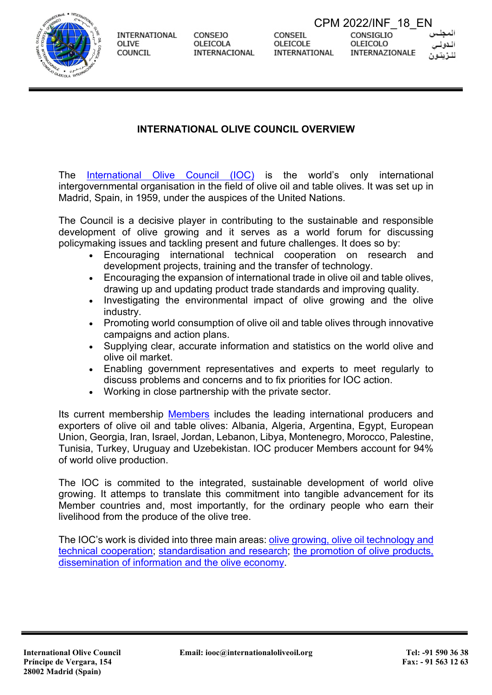

**CONSEJO** OLEICOLA **INTERNACIONAL**  CONSEIL OLEICOLE INTERNATIONAL

CPM 2022/INF\_18\_ENCONSIGLIO OLEICOLO INTERNAZIONALE



### **INTERNATIONAL OLIVE COUNCIL OVERVIEW**

The [International Olive Council](https://www.internationaloliveoil.org/) (IOC) is the world's only international intergovernmental organisation in the field of olive oil and table olives. It was set up in Madrid, Spain, in 1959, under the auspices of the United Nations.

The Council is a decisive player in contributing to the sustainable and responsible development of olive growing and it serves as a world forum for discussing policymaking issues and tackling present and future challenges. It does so by:

- Encouraging international technical cooperation on research and development projects, training and the transfer of technology.
- Encouraging the expansion of international trade in olive oil and table olives, drawing up and updating product trade standards and improving quality.
- Investigating the environmental impact of olive growing and the olive industry.
- Promoting world consumption of olive oil and table olives through innovative campaigns and action plans.
- Supplying clear, accurate information and statistics on the world olive and olive oil market.
- Enabling government representatives and experts to meet regularly to discuss problems and concerns and to fix priorities for IOC action.
- Working in close partnership with the private sector.

Its current membership [Members](https://www.internationaloliveoil.org/about-ioc/list-of-ioc-members/) includes the leading international producers and exporters of olive oil and table olives: Albania, Algeria, Argentina, Egypt, European Union, Georgia, Iran, Israel, Jordan, Lebanon, Libya, Montenegro, Morocco, Palestine, Tunisia, Turkey, Uruguay and Uzebekistan. IOC producer Members account for 94% of world olive production.

The IOC is commited to the integrated, sustainable development of world olive growing. It attemps to translate this commitment into tangible advancement for its Member countries and, most importantly, for the ordinary people who earn their livelihood from the produce of the olive tree.

The IOC's work is divided into three main areas: [olive growing, olive oil technology and](https://www.internationaloliveoil.org/what-we-do/olive-growing-olive-oil-technology-environment-unit/)  [technical cooperation;](https://www.internationaloliveoil.org/what-we-do/olive-growing-olive-oil-technology-environment-unit/) [standardisation and research;](https://www.internationaloliveoil.org/what-we-do/chemistry-standardisation-unit/) [the promotion of olive products,](https://www.internationaloliveoil.org/what-we-do/economic-affairs-promotion-unit/)  [dissemination of information and the olive economy.](https://www.internationaloliveoil.org/what-we-do/economic-affairs-promotion-unit/)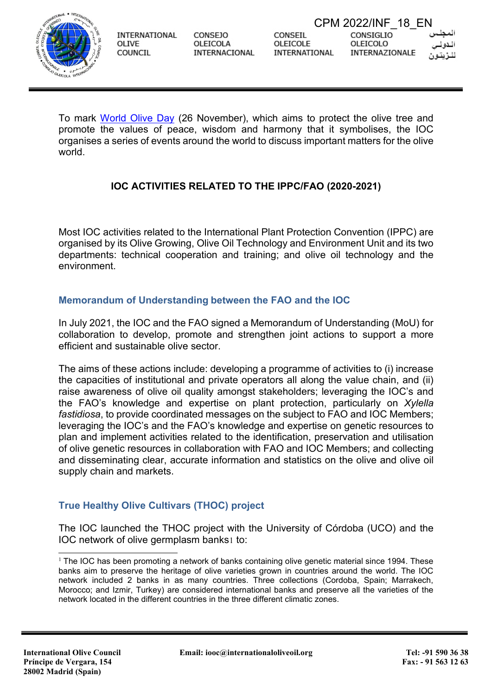

CONSEJO OLEICOLA INTERNACIONAL CPM 2022/INF\_18\_ENCONSIGLIO OLEICOLO INTERNAZIONALE

To mark [World Olive Day](https://www.internationaloliveoil.org/olive-world/world-day-of-the-olive-tree/) (26 November), which aims to protect the olive tree and promote the values of peace, wisdom and harmony that it symbolises, the IOC organises a series of events around the world to discuss important matters for the olive world.

# **IOC ACTIVITIES RELATED TO THE IPPC/FAO (2020-2021)**

Most IOC activities related to the International Plant Protection Convention (IPPC) are organised by its Olive Growing, Olive Oil Technology and Environment Unit and its two departments: technical cooperation and training; and olive oil technology and the environment.

### **Memorandum of Understanding between the FAO and the IOC**

In July 2021, the IOC and the FAO signed a Memorandum of Understanding (MoU) for collaboration to develop, promote and strengthen joint actions to support a more efficient and sustainable olive sector.

The aims of these actions include: developing a programme of activities to (i) increase the capacities of institutional and private operators all along the value chain, and (ii) raise awareness of olive oil quality amongst stakeholders; leveraging the IOC's and the FAO's knowledge and expertise on plant protection, particularly on *Xylella fastidiosa*, to provide coordinated messages on the subject to FAO and IOC Members; leveraging the IOC's and the FAO's knowledge and expertise on genetic resources to plan and implement activities related to the identification, preservation and utilisation of olive genetic resources in collaboration with FAO and IOC Members; and collecting and disseminating clear, accurate information and statistics on the olive and olive oil supply chain and markets.

### **True Healthy Olive Cultivars (THOC) project**

The IOC launched the THOC project with the University of Córdoba (UCO) and the IOC network of olive germplasm banks[1](#page-1-0) to:

<span id="page-1-0"></span> $1$  The IOC has been promoting a network of banks containing olive genetic material since 1994. These banks aim to preserve the heritage of olive varieties grown in countries around the world. The IOC network included 2 banks in as many countries. Three collections (Cordoba, Spain; Marrakech, Morocco; and Izmir, Turkey) are considered international banks and preserve all the varieties of the network located in the different countries in the three different climatic zones.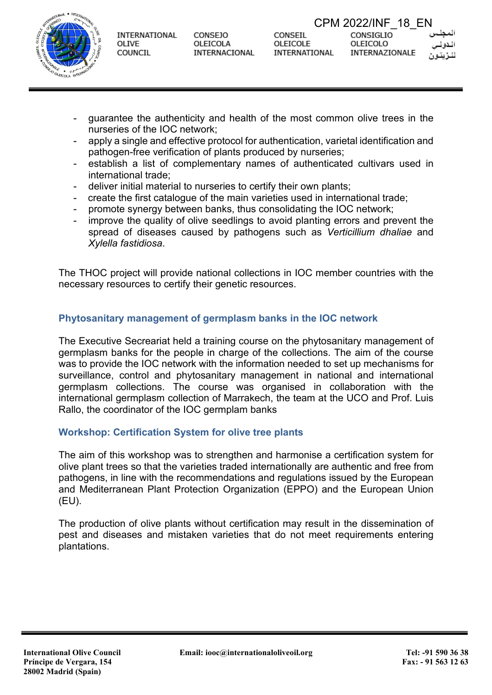

CONSEJO OLEICOLA **INTERNACIONAL**  CONSEIL OLEICOLE INTERNATIONAL

CPM 2022/INF\_18\_ENCONSIGLIO OLEICOLO INTERNAZIONALE



- guarantee the authenticity and health of the most common olive trees in the nurseries of the IOC network;
- apply a single and effective protocol for authentication, varietal identification and pathogen-free verification of plants produced by nurseries;
- establish a list of complementary names of authenticated cultivars used in international trade;
- deliver initial material to nurseries to certify their own plants;
- create the first catalogue of the main varieties used in international trade;
- promote synergy between banks, thus consolidating the IOC network;
- improve the quality of olive seedlings to avoid planting errors and prevent the spread of diseases caused by pathogens such as *Verticillium dhaliae* and *Xylella fastidiosa*.

The THOC project will provide national collections in IOC member countries with the necessary resources to certify their genetic resources.

## **Phytosanitary management of germplasm banks in the IOC network**

The Executive Secreariat held a training course on the phytosanitary management of germplasm banks for the people in charge of the collections. The aim of the course was to provide the IOC network with the information needed to set up mechanisms for surveillance, control and phytosanitary management in national and international germplasm collections. The course was organised in collaboration with the international germplasm collection of Marrakech, the team at the UCO and Prof. Luis Rallo, the coordinator of the IOC germplam banks

### **Workshop: Certification System for olive tree plants**

The aim of this workshop was to strengthen and harmonise a certification system for olive plant trees so that the varieties traded internationally are authentic and free from pathogens, in line with the recommendations and regulations issued by the European and Mediterranean Plant Protection Organization (EPPO) and the European Union (EU).

The production of olive plants without certification may result in the dissemination of pest and diseases and mistaken varieties that do not meet requirements entering plantations.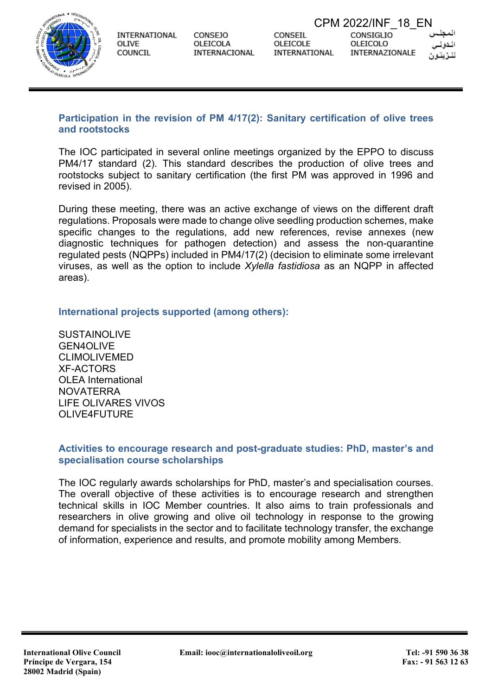

**CONSEJO** OLEICOLA **INTERNACIONAL** 

## **Participation in the revision of PM 4/17(2): Sanitary certification of olive trees and rootstocks**

The IOC participated in several online meetings organized by the EPPO to discuss PM4/17 standard (2). This standard describes the production of olive trees and rootstocks subject to sanitary certification (the first PM was approved in 1996 and revised in 2005).

During these meeting, there was an active exchange of views on the different draft regulations. Proposals were made to change olive seedling production schemes, make specific changes to the regulations, add new references, revise annexes (new diagnostic techniques for pathogen detection) and assess the non-quarantine regulated pests (NQPPs) included in PM4/17(2) (decision to eliminate some irrelevant viruses, as well as the option to include *Xylella fastidiosa* as an NQPP in affected areas).

# **International projects supported (among others):**

**SUSTAINOLIVE** GEN4OLIVE CLIMOLIVEMED XF-ACTORS OLEA International NOVATERRA LIFE OLIVARES VIVOS OLIVE4FUTURE

### **Activities to encourage research and post-graduate studies: PhD, master's and specialisation course scholarships**

The IOC regularly awards scholarships for PhD, master's and specialisation courses. The overall objective of these activities is to encourage research and strengthen technical skills in IOC Member countries. It also aims to train professionals and researchers in olive growing and olive oil technology in response to the growing demand for specialists in the sector and to facilitate technology transfer, the exchange of information, experience and results, and promote mobility among Members.